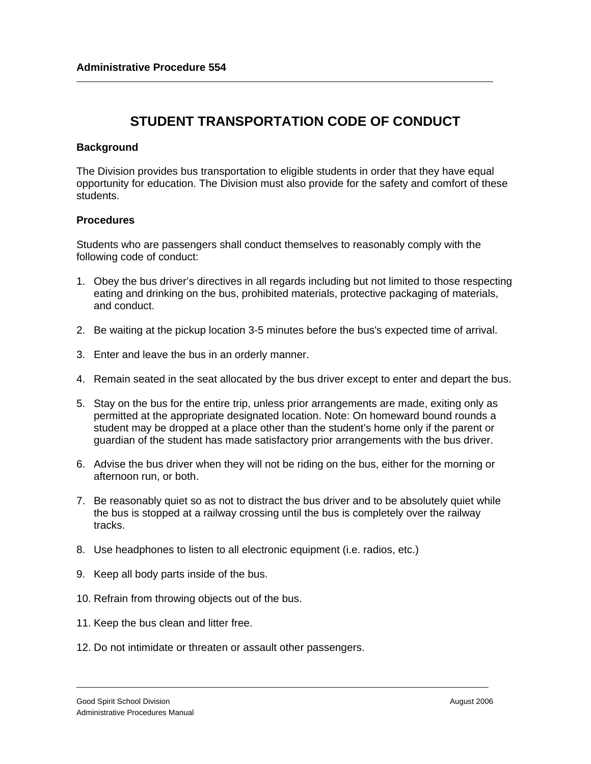## **STUDENT TRANSPORTATION CODE OF CONDUCT**

## **Background**

The Division provides bus transportation to eligible students in order that they have equal opportunity for education. The Division must also provide for the safety and comfort of these students.

## **Procedures**

Students who are passengers shall conduct themselves to reasonably comply with the following code of conduct:

- 1. Obey the bus driver's directives in all regards including but not limited to those respecting eating and drinking on the bus, prohibited materials, protective packaging of materials, and conduct.
- 2. Be waiting at the pickup location 3-5 minutes before the bus's expected time of arrival.
- 3. Enter and leave the bus in an orderly manner.
- 4. Remain seated in the seat allocated by the bus driver except to enter and depart the bus.
- 5. Stay on the bus for the entire trip, unless prior arrangements are made, exiting only as permitted at the appropriate designated location. Note: On homeward bound rounds a student may be dropped at a place other than the student's home only if the parent or guardian of the student has made satisfactory prior arrangements with the bus driver.
- 6. Advise the bus driver when they will not be riding on the bus, either for the morning or afternoon run, or both.
- 7. Be reasonably quiet so as not to distract the bus driver and to be absolutely quiet while the bus is stopped at a railway crossing until the bus is completely over the railway tracks.

\_\_\_\_\_\_\_\_\_\_\_\_\_\_\_\_\_\_\_\_\_\_\_\_\_\_\_\_\_\_\_\_\_\_\_\_\_\_\_\_\_\_\_\_\_\_\_\_\_\_\_\_\_\_\_\_\_\_\_\_\_\_\_\_\_\_\_\_\_\_\_\_\_\_\_\_\_\_\_\_\_\_\_\_\_\_\_\_\_\_\_\_\_\_\_\_

- 8. Use headphones to listen to all electronic equipment (i.e. radios, etc.)
- 9. Keep all body parts inside of the bus.
- 10. Refrain from throwing objects out of the bus.
- 11. Keep the bus clean and litter free.
- 12. Do not intimidate or threaten or assault other passengers.